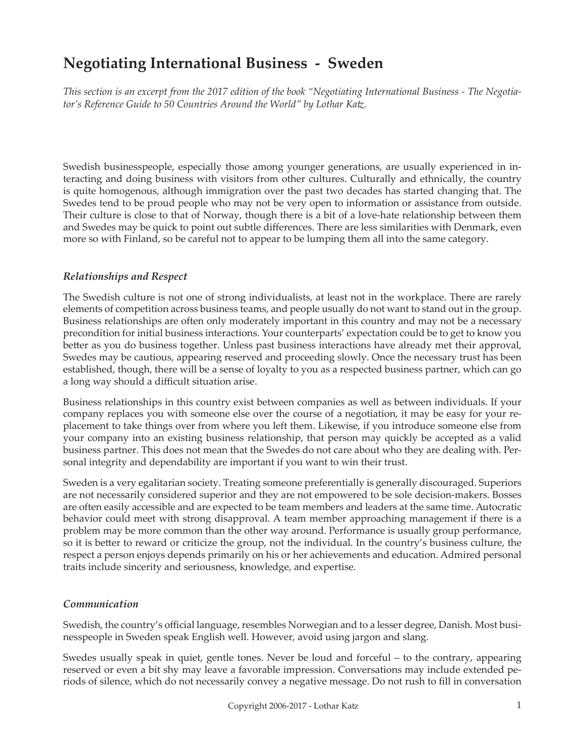# **Negotiating International Business - Sweden**

*This section is an excerpt from the 2017 edition of the book "Negotiating International Business - The Negotiator's Reference Guide to 50 Countries Around the World" by Lothar Katz.*

Swedish businesspeople, especially those among younger generations, are usually experienced in interacting and doing business with visitors from other cultures. Culturally and ethnically, the country is quite homogenous, although immigration over the past two decades has started changing that. The Swedes tend to be proud people who may not be very open to information or assistance from outside. Their culture is close to that of Norway, though there is a bit of a love-hate relationship between them and Swedes may be quick to point out subtle differences. There are less similarities with Denmark, even more so with Finland, so be careful not to appear to be lumping them all into the same category.

#### *Relationships and Respect*

The Swedish culture is not one of strong individualists, at least not in the workplace. There are rarely elements of competition across business teams, and people usually do not want to stand out in the group. Business relationships are often only moderately important in this country and may not be a necessary precondition for initial business interactions. Your counterparts' expectation could be to get to know you better as you do business together. Unless past business interactions have already met their approval, Swedes may be cautious, appearing reserved and proceeding slowly. Once the necessary trust has been established, though, there will be a sense of loyalty to you as a respected business partner, which can go a long way should a difficult situation arise.

Business relationships in this country exist between companies as well as between individuals. If your company replaces you with someone else over the course of a negotiation, it may be easy for your replacement to take things over from where you left them. Likewise, if you introduce someone else from your company into an existing business relationship, that person may quickly be accepted as a valid business partner. This does not mean that the Swedes do not care about who they are dealing with. Personal integrity and dependability are important if you want to win their trust.

Sweden is a very egalitarian society. Treating someone preferentially is generally discouraged. Superiors are not necessarily considered superior and they are not empowered to be sole decision-makers. Bosses are often easily accessible and are expected to be team members and leaders at the same time. Autocratic behavior could meet with strong disapproval. A team member approaching management if there is a problem may be more common than the other way around. Performance is usually group performance, so it is better to reward or criticize the group, not the individual. In the country's business culture, the respect a person enjoys depends primarily on his or her achievements and education. Admired personal traits include sincerity and seriousness, knowledge, and expertise.

## *Communication*

Swedish, the country's official language, resembles Norwegian and to a lesser degree, Danish. Most businesspeople in Sweden speak English well. However, avoid using jargon and slang.

Swedes usually speak in quiet, gentle tones. Never be loud and forceful – to the contrary, appearing reserved or even a bit shy may leave a favorable impression. Conversations may include extended periods of silence, which do not necessarily convey a negative message. Do not rush to fill in conversation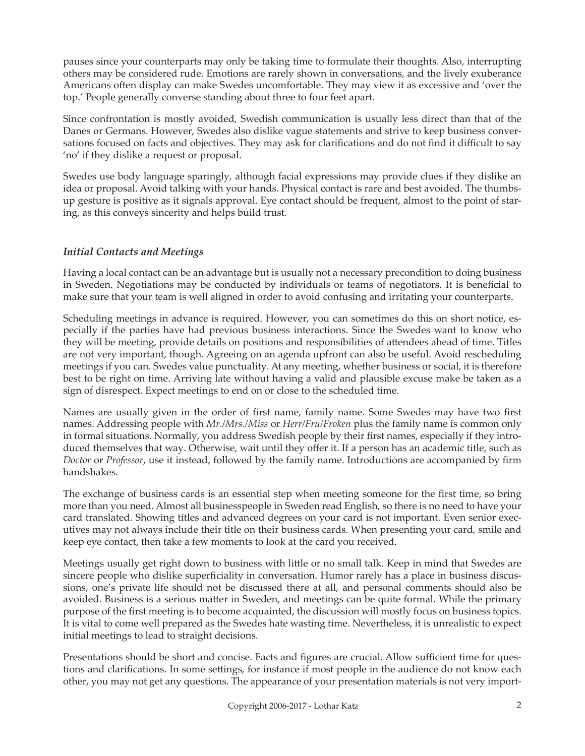pauses since your counterparts may only be taking time to formulate their thoughts. Also, interrupting others may be considered rude. Emotions are rarely shown in conversations, and the lively exuberance Americans often display can make Swedes uncomfortable. They may view it as excessive and 'over the top.' People generally converse standing about three to four feet apart.

Since confrontation is mostly avoided, Swedish communication is usually less direct than that of the Danes or Germans. However, Swedes also dislike vague statements and strive to keep business conversations focused on facts and objectives. They may ask for clarifications and do not find it difficult to say 'no' if they dislike a request or proposal.

Swedes use body language sparingly, although facial expressions may provide clues if they dislike an idea or proposal. Avoid talking with your hands. Physical contact is rare and best avoided. The thumbsup gesture is positive as it signals approval. Eye contact should be frequent, almost to the point of staring, as this conveys sincerity and helps build trust.

## *Initial Contacts and Meetings*

Having a local contact can be an advantage but is usually not a necessary precondition to doing business in Sweden. Negotiations may be conducted by individuals or teams of negotiators. It is beneficial to make sure that your team is well aligned in order to avoid confusing and irritating your counterparts.

Scheduling meetings in advance is required. However, you can sometimes do this on short notice, especially if the parties have had previous business interactions. Since the Swedes want to know who they will be meeting, provide details on positions and responsibilities of attendees ahead of time. Titles are not very important, though. Agreeing on an agenda upfront can also be useful. Avoid rescheduling meetings if you can. Swedes value punctuality. At any meeting, whether business or social, it is therefore best to be right on time. Arriving late without having a valid and plausible excuse make be taken as a sign of disrespect. Expect meetings to end on or close to the scheduled time.

Names are usually given in the order of first name, family name. Some Swedes may have two first names. Addressing people with *Mr./Mrs./Miss* or *Herr/Fru/Froken* plus the family name is common only in formal situations. Normally, you address Swedish people by their first names, especially if they introduced themselves that way. Otherwise, wait until they offer it. If a person has an academic title, such as *Doctor* or *Professor*, use it instead, followed by the family name. Introductions are accompanied by firm handshakes.

The exchange of business cards is an essential step when meeting someone for the first time, so bring more than you need. Almost all businesspeople in Sweden read English, so there is no need to have your card translated. Showing titles and advanced degrees on your card is not important. Even senior executives may not always include their title on their business cards. When presenting your card, smile and keep eye contact, then take a few moments to look at the card you received.

Meetings usually get right down to business with little or no small talk. Keep in mind that Swedes are sincere people who dislike superficiality in conversation. Humor rarely has a place in business discussions, one's private life should not be discussed there at all, and personal comments should also be avoided. Business is a serious matter in Sweden, and meetings can be quite formal. While the primary purpose of the first meeting is to become acquainted, the discussion will mostly focus on business topics. It is vital to come well prepared as the Swedes hate wasting time. Nevertheless, it is unrealistic to expect initial meetings to lead to straight decisions.

Presentations should be short and concise. Facts and figures are crucial. Allow sufficient time for questions and clarifications. In some settings, for instance if most people in the audience do not know each other, you may not get any questions. The appearance of your presentation materials is not very import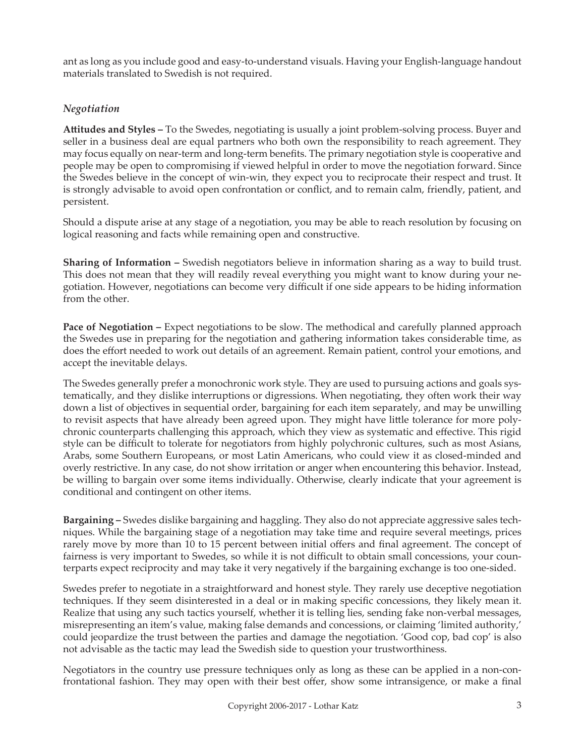ant as long as you include good and easy-to-understand visuals. Having your English-language handout materials translated to Swedish is not required.

# *Negotiation*

**Attitudes and Styles –** To the Swedes, negotiating is usually a joint problem-solving process. Buyer and seller in a business deal are equal partners who both own the responsibility to reach agreement. They may focus equally on near-term and long-term benefits. The primary negotiation style is cooperative and people may be open to compromising if viewed helpful in order to move the negotiation forward. Since the Swedes believe in the concept of win-win, they expect you to reciprocate their respect and trust. It is strongly advisable to avoid open confrontation or conflict, and to remain calm, friendly, patient, and persistent.

Should a dispute arise at any stage of a negotiation, you may be able to reach resolution by focusing on logical reasoning and facts while remaining open and constructive.

**Sharing of Information –** Swedish negotiators believe in information sharing as a way to build trust. This does not mean that they will readily reveal everything you might want to know during your negotiation. However, negotiations can become very difficult if one side appears to be hiding information from the other.

**Pace of Negotiation – Expect negotiations to be slow. The methodical and carefully planned approach** the Swedes use in preparing for the negotiation and gathering information takes considerable time, as does the effort needed to work out details of an agreement. Remain patient, control your emotions, and accept the inevitable delays.

The Swedes generally prefer a monochronic work style. They are used to pursuing actions and goals systematically, and they dislike interruptions or digressions. When negotiating, they often work their way down a list of objectives in sequential order, bargaining for each item separately, and may be unwilling to revisit aspects that have already been agreed upon. They might have little tolerance for more polychronic counterparts challenging this approach, which they view as systematic and effective. This rigid style can be difficult to tolerate for negotiators from highly polychronic cultures, such as most Asians, Arabs, some Southern Europeans, or most Latin Americans, who could view it as closed-minded and overly restrictive. In any case, do not show irritation or anger when encountering this behavior. Instead, be willing to bargain over some items individually. Otherwise, clearly indicate that your agreement is conditional and contingent on other items.

**Bargaining –** Swedes dislike bargaining and haggling. They also do not appreciate aggressive sales techniques. While the bargaining stage of a negotiation may take time and require several meetings, prices rarely move by more than 10 to 15 percent between initial offers and final agreement. The concept of fairness is very important to Swedes, so while it is not difficult to obtain small concessions, your counterparts expect reciprocity and may take it very negatively if the bargaining exchange is too one-sided.

Swedes prefer to negotiate in a straightforward and honest style. They rarely use deceptive negotiation techniques. If they seem disinterested in a deal or in making specific concessions, they likely mean it. Realize that using any such tactics yourself, whether it is telling lies, sending fake non-verbal messages, misrepresenting an item's value, making false demands and concessions, or claiming 'limited authority,' could jeopardize the trust between the parties and damage the negotiation. 'Good cop, bad cop' is also not advisable as the tactic may lead the Swedish side to question your trustworthiness.

Negotiators in the country use pressure techniques only as long as these can be applied in a non-confrontational fashion. They may open with their best offer, show some intransigence, or make a final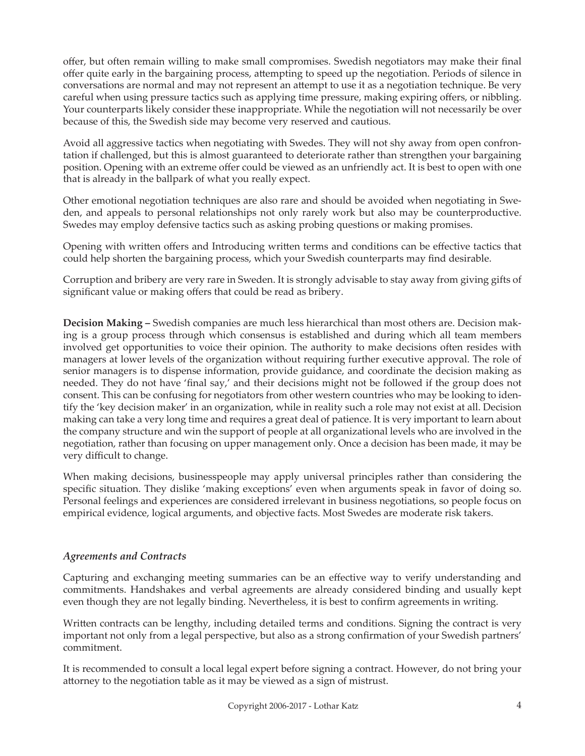offer, but often remain willing to make small compromises. Swedish negotiators may make their final offer quite early in the bargaining process, attempting to speed up the negotiation. Periods of silence in conversations are normal and may not represent an attempt to use it as a negotiation technique. Be very careful when using pressure tactics such as applying time pressure, making expiring offers, or nibbling. Your counterparts likely consider these inappropriate. While the negotiation will not necessarily be over because of this, the Swedish side may become very reserved and cautious.

Avoid all aggressive tactics when negotiating with Swedes. They will not shy away from open confrontation if challenged, but this is almost guaranteed to deteriorate rather than strengthen your bargaining position. Opening with an extreme offer could be viewed as an unfriendly act. It is best to open with one that is already in the ballpark of what you really expect.

Other emotional negotiation techniques are also rare and should be avoided when negotiating in Sweden, and appeals to personal relationships not only rarely work but also may be counterproductive. Swedes may employ defensive tactics such as asking probing questions or making promises.

Opening with written offers and Introducing written terms and conditions can be effective tactics that could help shorten the bargaining process, which your Swedish counterparts may find desirable.

Corruption and bribery are very rare in Sweden. It is strongly advisable to stay away from giving gifts of significant value or making offers that could be read as bribery.

**Decision Making –** Swedish companies are much less hierarchical than most others are. Decision making is a group process through which consensus is established and during which all team members involved get opportunities to voice their opinion. The authority to make decisions often resides with managers at lower levels of the organization without requiring further executive approval. The role of senior managers is to dispense information, provide guidance, and coordinate the decision making as needed. They do not have 'final say,' and their decisions might not be followed if the group does not consent. This can be confusing for negotiators from other western countries who may be looking to identify the 'key decision maker' in an organization, while in reality such a role may not exist at all. Decision making can take a very long time and requires a great deal of patience. It is very important to learn about the company structure and win the support of people at all organizational levels who are involved in the negotiation, rather than focusing on upper management only. Once a decision has been made, it may be very difficult to change.

When making decisions, businesspeople may apply universal principles rather than considering the specific situation. They dislike 'making exceptions' even when arguments speak in favor of doing so. Personal feelings and experiences are considered irrelevant in business negotiations, so people focus on empirical evidence, logical arguments, and objective facts. Most Swedes are moderate risk takers.

## *Agreements and Contracts*

Capturing and exchanging meeting summaries can be an effective way to verify understanding and commitments. Handshakes and verbal agreements are already considered binding and usually kept even though they are not legally binding. Nevertheless, it is best to confirm agreements in writing.

Written contracts can be lengthy, including detailed terms and conditions. Signing the contract is very important not only from a legal perspective, but also as a strong confirmation of your Swedish partners' commitment.

It is recommended to consult a local legal expert before signing a contract. However, do not bring your attorney to the negotiation table as it may be viewed as a sign of mistrust.